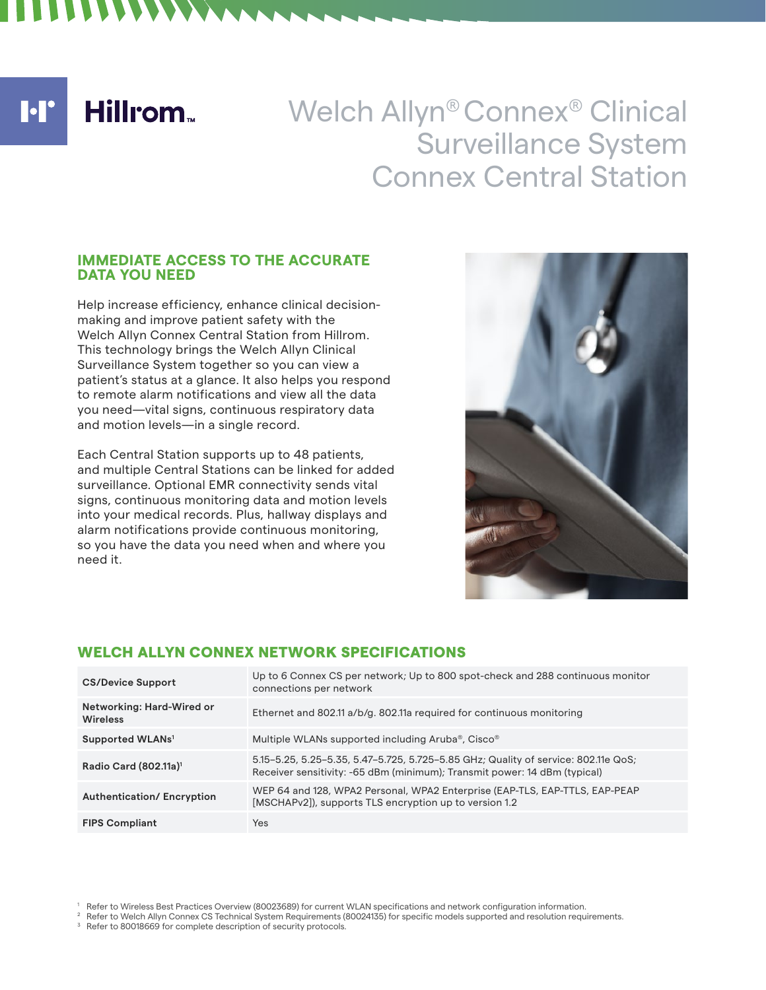$\blacksquare$ 

**Hillrom** 

# Welch Allyn® Connex® Clinical Surveillance System Connex Central Station

#### **IMMEDIATE ACCESS TO THE ACCURATE DATA YOU NEED**

Help increase efficiency, enhance clinical decisionmaking and improve patient safety with the Welch Allyn Connex Central Station from Hillrom. This technology brings the Welch Allyn Clinical Surveillance System together so you can view a patient's status at a glance. It also helps you respond to remote alarm notifications and view all the data you need—vital signs, continuous respiratory data and motion levels—in a single record.

Each Central Station supports up to 48 patients, and multiple Central Stations can be linked for added surveillance. Optional EMR connectivity sends vital signs, continuous monitoring data and motion levels into your medical records. Plus, hallway displays and alarm notifications provide continuous monitoring, so you have the data you need when and where you need it.



## WELCH ALLYN CONNEX NETWORK SPECIFICATIONS

| <b>CS/Device Support</b>                     | Up to 6 Connex CS per network; Up to 800 spot-check and 288 continuous monitor<br>connections per network                                                       |
|----------------------------------------------|-----------------------------------------------------------------------------------------------------------------------------------------------------------------|
| Networking: Hard-Wired or<br><b>Wireless</b> | Ethernet and 802.11 a/b/g. 802.11a required for continuous monitoring                                                                                           |
| Supported WLANs <sup>1</sup>                 | Multiple WLANs supported including Aruba®, Cisco®                                                                                                               |
| Radio Card (802.11a) <sup>1</sup>            | 5.15-5.25, 5.25-5.35, 5.47-5.725, 5.725-5.85 GHz; Quality of service: 802.11e QoS;<br>Receiver sensitivity: -65 dBm (minimum); Transmit power: 14 dBm (typical) |
| <b>Authentication/Encryption</b>             | WEP 64 and 128, WPA2 Personal, WPA2 Enterprise (EAP-TLS, EAP-TTLS, EAP-PEAP<br>[MSCHAPv2]), supports TLS encryption up to version 1.2                           |
| <b>FIPS Compliant</b>                        | <b>Yes</b>                                                                                                                                                      |

 $^1$  Refer to Wireless Best Practices Overview (80023689) for current WLAN specifications and network configuration information.<br>  $^2$  Refer to Welch Allyn Connex CS Technical System Requirements (80024135) for specific m